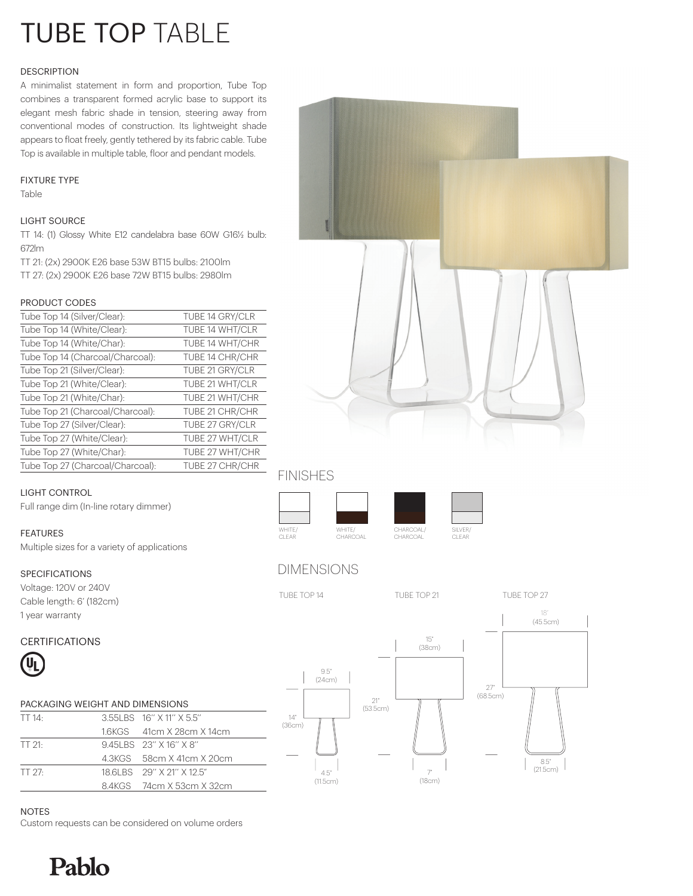# TUBE TOP TABLE

#### **DESCRIPTION**

A minimalist statement in form and proportion, Tube Top combines a transparent formed acrylic base to support its elegant mesh fabric shade in tension, steering away from conventional modes of construction. Its lightweight shade appears to float freely, gently tethered by its fabric cable. Tube Top is available in multiple table, floor and pendant models.

#### FIXTURE TYPE

Table

#### LIGHT SOURCE

TT 14: (1) Glossy White E12 candelabra base 60W G16½ bulb: 672lm

TT 21: (2x) 2900K E26 base 53W BT15 bulbs: 2100lm TT 27: (2x) 2900K E26 base 72W BT15 bulbs: 2980lm

#### PRODUCT CODES

| Tube Top 14 (Silver/Clear):      | TUBE 14 GRY/CLR |
|----------------------------------|-----------------|
| Tube Top 14 (White/Clear):       | TUBE 14 WHT/CLR |
| Tube Top 14 (White/Char):        | TUBE 14 WHT/CHR |
| Tube Top 14 (Charcoal/Charcoal): | TUBE 14 CHR/CHR |
| Tube Top 21 (Silver/Clear):      | TUBE 21 GRY/CLR |
| Tube Top 21 (White/Clear):       | TUBE 21 WHT/CLR |
| Tube Top 21 (White/Char):        | TUBE 21 WHT/CHR |
| Tube Top 21 (Charcoal/Charcoal): | TUBE 21 CHR/CHR |
| Tube Top 27 (Silver/Clear):      | TUBE 27 GRY/CLR |
| Tube Top 27 (White/Clear):       | TUBE 27 WHT/CLR |
| Tube Top 27 (White/Char):        | TUBE 27 WHT/CHR |
| Tube Top 27 (Charcoal/Charcoal): | TUBE 27 CHR/CHR |



## FINISHES

#### LIGHT CONTROL

Full range dim (In-line rotary dimmer)

#### FEATURES

Multiple sizes for a variety of applications

#### SPECIFICATIONS

Voltage: 120V or 240V Cable length: 6' (182cm) 1 year warranty

# WHITE/ CLEAR CHARCOAL/ CHARCOAL WHITE/ CHARCOAL



# DIMENSIONS



(45.5cm) 18"

## CERTIFICATIONS



| PACKAGING WEIGHT AND DIMENSIONS |  |                           |
|---------------------------------|--|---------------------------|
| TT $14$ :                       |  | 3.55 BS 16" X 11" X 5.5"  |
|                                 |  | 1.6KGS 41cm X 28cm X 14cm |
| TT 21.                          |  | 945LBS 23" X 16" X 8"     |
|                                 |  | 4.3KGS 58cm X 41cm X 20cm |
| TT 27-                          |  | 18 6LBS 29" X 21" X 12 5" |
|                                 |  | 8.4KGS 74cm X 53cm X 32cm |



NOTES

Custom requests can be considered on volume orders

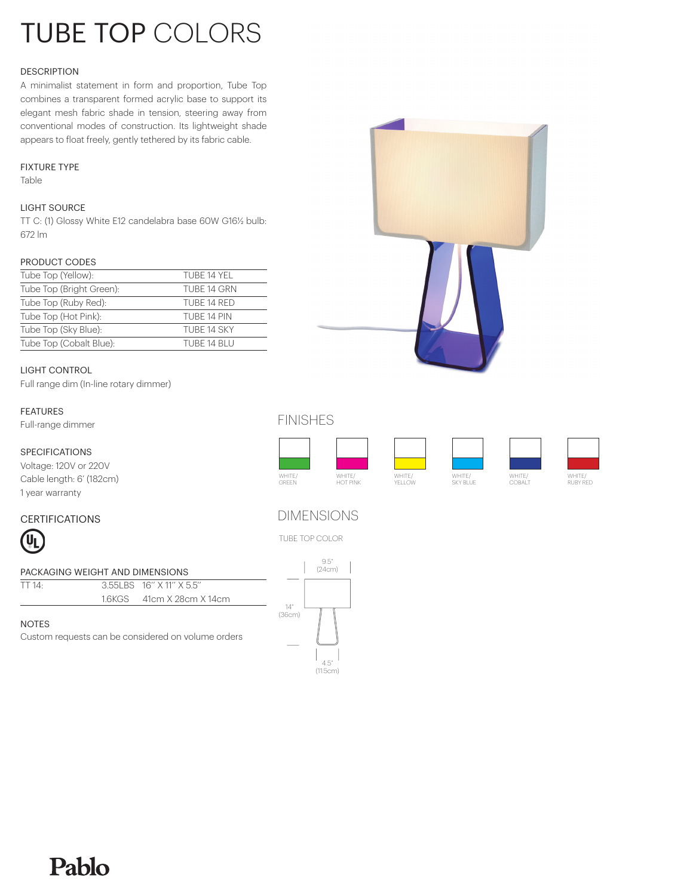# TUBE TOP COLORS

#### **DESCRIPTION**

A minimalist statement in form and proportion, Tube Top combines a transparent formed acrylic base to support its elegant mesh fabric shade in tension, steering away from conventional modes of construction. Its lightweight shade appears to float freely, gently tethered by its fabric cable.

#### FIXTURE TYPE

Table

#### LIGHT SOURCE

TT C: (1) Glossy White E12 candelabra base 60W G16½ bulb: 672 lm

#### PRODUCT CODES

| Tube Top (Yellow):       | TUBE 14 YFI |
|--------------------------|-------------|
| Tube Top (Bright Green): | TUBE 14 GRN |
| Tube Top (Ruby Red):     | TUBE 14 RED |
| Tube Top (Hot Pink):     | TURF 14 PIN |
| Tube Top (Sky Blue):     | TURE 14 SKY |
| Tube Top (Cobalt Blue):  | TUBE 14 BLU |

#### LIGHT CONTROL

Full range dim (In-line rotary dimmer)

#### FEATURES

Full-range dimmer

#### SPECIFICATIONS

Voltage: 120V or 220V Cable length: 6' (182cm) 1 year warranty

Pablo

#### CERTIFICATIONS



|                                                    | PACKAGING WEIGHT AND DIMENSIONS |                           |              |
|----------------------------------------------------|---------------------------------|---------------------------|--------------|
| TT 14·                                             |                                 | 3.55 BS 16" X 11" X 5.5"  |              |
|                                                    |                                 | 1.6KGS 41cm X 28cm X 14cm | $1\Lambda$ " |
|                                                    |                                 |                           | (36cm)       |
| NOTES.                                             |                                 |                           |              |
| Custom requests can be considered on volume orders |                                 |                           |              |

## FINISHES



## DIMENSIONS

TUBE TOP COLOR



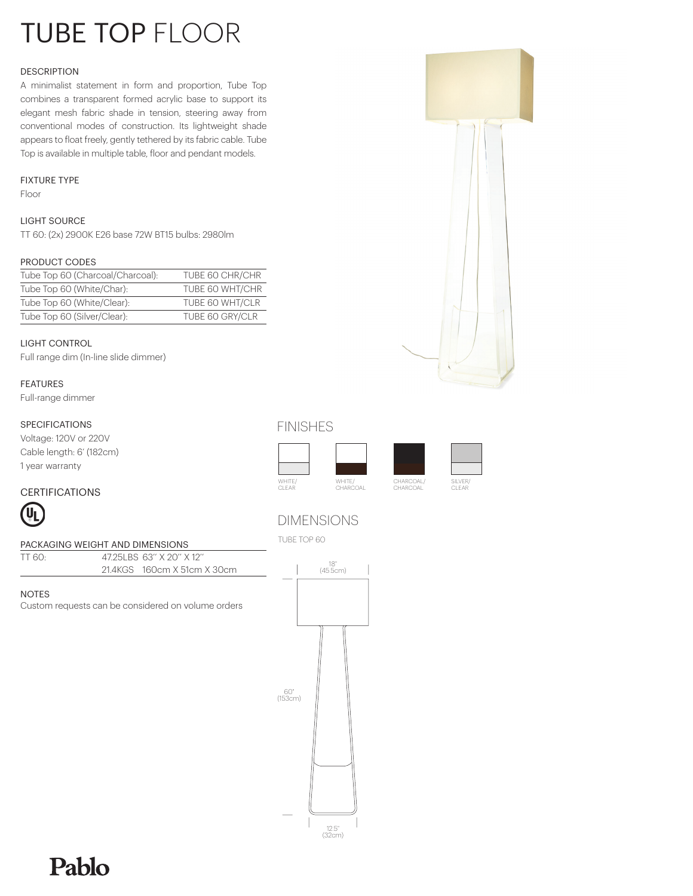# TUBE TOP FLOOR

#### DESCRIPTION

A minimalist statement in form and proportion, Tube Top combines a transparent formed acrylic base to support its elegant mesh fabric shade in tension, steering away from conventional modes of construction. Its lightweight shade appears to float freely, gently tethered by its fabric cable. Tube Top is available in multiple table, floor and pendant models.

#### FIXTURE TYPE

Floor

#### LIGHT SOURCE

TT 60: (2x) 2900K E26 base 72W BT15 bulbs: 2980lm

#### PRODUCT CODES

| Tube Top 60 (Charcoal/Charcoal): | TUBE 60 CHR/CHR |
|----------------------------------|-----------------|
| Tube Top 60 (White/Char):        | TUBE 60 WHT/CHR |
| Tube Top 60 (White/Clear):       | TUBE 60 WHT/CLR |
| Tube Top 60 (Silver/Clear):      | TUBE 60 GRY/CLR |

#### LIGHT CONTROL

Full range dim (In-line slide dimmer)

#### FEATURES

Full-range dimmer

#### SPECIFICATIONS

Voltage: 120V or 220V

#### FINISHES

DIMENSIONS





Cable length: 6' (182cm) 1 year warranty

#### CERTIFICATIONS



#### PACKAGING WEIGHT AND DIMENSIONS

| PACKAGING WEIGHT AND DIMENSIONS |  |                             |
|---------------------------------|--|-----------------------------|
| TT 60-                          |  | 47 251 BS 63" X 20" X 12"   |
|                                 |  | 21.4KGS 160cm X 51cm X 30cm |

#### NOTES

Custom requests can be considered on volume orders



# Pablo